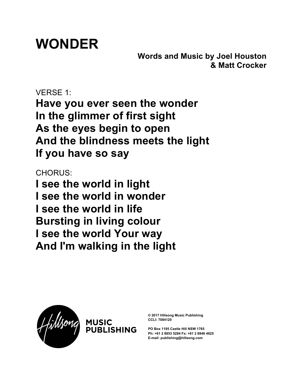## **WONDER**

**Words and Music by Joel Houston & Matt Crocker**

VERSE 1: **Have you ever seen the wonder In the glimmer of first sight As the eyes begin to open And the blindness meets the light If you have so say**

CHORUS:

**I see the world in light I see the world in wonder I see the world in life Bursting in living colour I see the world Your way And I'm walking in the light**

**ISHING** 



**© 2017 Hillsong Music Publishing CCLI: 7084120**

**PO Box 1195 Castle Hill NSW 1765 Ph: +61 2 8853 5284 Fx: +61 2 8846 4625 E-mail: publishing@hillsong.com**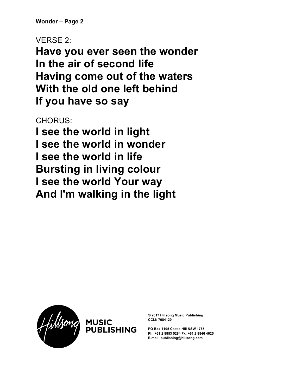**Wonder – Page 2**

VERSE 2:

**Have you ever seen the wonder In the air of second life Having come out of the waters With the old one left behind If you have so say**

CHORUS:

**I see the world in light I see the world in wonder I see the world in life Bursting in living colour I see the world Your way And I'm walking in the light**

PUBLISHING



**© 2017 Hillsong Music Publishing CCLI: 7084120**

**PO Box 1195 Castle Hill NSW 1765 Ph: +61 2 8853 5284 Fx: +61 2 8846 4625 E-mail: publishing@hillsong.com**